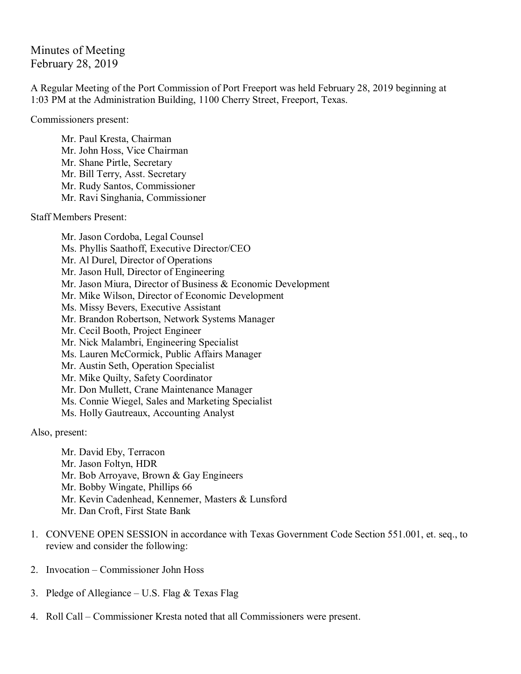Minutes of Meeting February 28, 2019

A Regular Meeting of the Port Commission of Port Freeport was held February 28, 2019 beginning at 1:03 PM at the Administration Building, 1100 Cherry Street, Freeport, Texas.

Commissioners present:

Mr. Paul Kresta, Chairman Mr. John Hoss, Vice Chairman Mr. Shane Pirtle, Secretary Mr. Bill Terry, Asst. Secretary Mr. Rudy Santos, Commissioner Mr. Ravi Singhania, Commissioner

Staff Members Present:

Mr. Jason Cordoba, Legal Counsel Ms. Phyllis Saathoff, Executive Director/CEO Mr. Al Durel, Director of Operations Mr. Jason Hull, Director of Engineering Mr. Jason Miura, Director of Business & Economic Development Mr. Mike Wilson, Director of Economic Development Ms. Missy Bevers, Executive Assistant Mr. Brandon Robertson, Network Systems Manager Mr. Cecil Booth, Project Engineer Mr. Nick Malambri, Engineering Specialist Ms. Lauren McCormick, Public Affairs Manager Mr. Austin Seth, Operation Specialist Mr. Mike Quilty, Safety Coordinator Mr. Don Mullett, Crane Maintenance Manager Ms. Connie Wiegel, Sales and Marketing Specialist Ms. Holly Gautreaux, Accounting Analyst

Also, present:

Mr. David Eby, Terracon Mr. Jason Foltyn, HDR Mr. Bob Arroyave, Brown & Gay Engineers Mr. Bobby Wingate, Phillips 66 Mr. Kevin Cadenhead, Kennemer, Masters & Lunsford Mr. Dan Croft, First State Bank

- 1. CONVENE OPEN SESSION in accordance with Texas Government Code Section 551.001, et. seq., to review and consider the following:
- 2. Invocation Commissioner John Hoss
- 3. Pledge of Allegiance U.S. Flag  $&$  Texas Flag
- 4. Roll Call Commissioner Kresta noted that all Commissioners were present.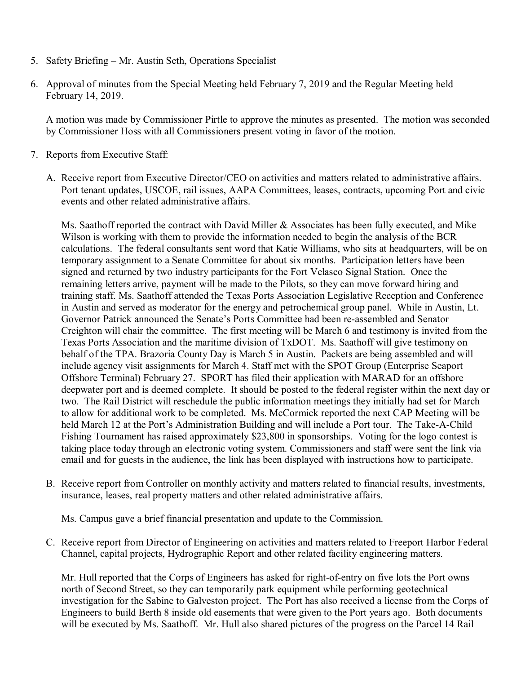- 5. Safety Briefing Mr. Austin Seth, Operations Specialist
- 6. Approval of minutes from the Special Meeting held February 7, 2019 and the Regular Meeting held February 14, 2019.

A motion was made by Commissioner Pirtle to approve the minutes as presented. The motion was seconded by Commissioner Hoss with all Commissioners present voting in favor of the motion.

- 7. Reports from Executive Staff:
	- A. Receive report from Executive Director/CEO on activities and matters related to administrative affairs. Port tenant updates, USCOE, rail issues, AAPA Committees, leases, contracts, upcoming Port and civic events and other related administrative affairs.

Ms. Saathoff reported the contract with David Miller & Associates has been fully executed, and Mike Wilson is working with them to provide the information needed to begin the analysis of the BCR calculations. The federal consultants sent word that Katie Williams, who sits at headquarters, will be on temporary assignment to a Senate Committee for about six months. Participation letters have been signed and returned by two industry participants for the Fort Velasco Signal Station. Once the remaining letters arrive, payment will be made to the Pilots, so they can move forward hiring and training staff. Ms. Saathoff attended the Texas Ports Association Legislative Reception and Conference in Austin and served as moderator for the energy and petrochemical group panel. While in Austin, Lt. Governor Patrick announced the Senate's Ports Committee had been re-assembled and Senator Creighton will chair the committee. The first meeting will be March 6 and testimony is invited from the Texas Ports Association and the maritime division of TxDOT. Ms. Saathoff will give testimony on behalf of the TPA. Brazoria County Day is March 5 in Austin. Packets are being assembled and will include agency visit assignments for March 4. Staff met with the SPOT Group (Enterprise Seaport Offshore Terminal) February 27. SPORT has filed their application with MARAD for an offshore deepwater port and is deemed complete. It should be posted to the federal register within the next day or two. The Rail District will reschedule the public information meetings they initially had set for March to allow for additional work to be completed. Ms. McCormick reported the next CAP Meeting will be held March 12 at the Port's Administration Building and will include a Port tour. The Take-A-Child Fishing Tournament has raised approximately \$23,800 in sponsorships. Voting for the logo contest is taking place today through an electronic voting system. Commissioners and staff were sent the link via email and for guests in the audience, the link has been displayed with instructions how to participate.

B. Receive report from Controller on monthly activity and matters related to financial results, investments, insurance, leases, real property matters and other related administrative affairs.

Ms. Campus gave a brief financial presentation and update to the Commission.

C. Receive report from Director of Engineering on activities and matters related to Freeport Harbor Federal Channel, capital projects, Hydrographic Report and other related facility engineering matters.

Mr. Hull reported that the Corps of Engineers has asked for right-of-entry on five lots the Port owns north of Second Street, so they can temporarily park equipment while performing geotechnical investigation for the Sabine to Galveston project. The Port has also received a license from the Corps of Engineers to build Berth 8 inside old easements that were given to the Port years ago. Both documents will be executed by Ms. Saathoff. Mr. Hull also shared pictures of the progress on the Parcel 14 Rail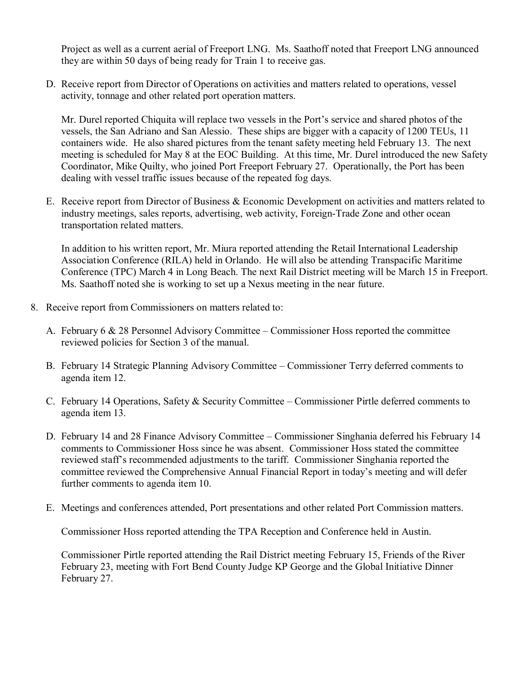Project as well as a current aerial of Freeport LNG. Ms. Saathoff noted that Freeport LNG announced they are within 50 days of being ready for Train 1 to receive gas.

D. Receive report from Director of Operations on activities and matters related to operations, vessel activity, tonnage and other related port operation matters.

Mr. Durel reported Chiquita will replace two vessels in the Port's service and shared photos of the vessels, the San Adriano and San Alessio. These ships are bigger with a capacity of 1200 TEUs, 11 containers wide. He also shared pictures from the tenant safety meeting held February 13. The next meeting is scheduled for May 8 at the EOC Building. At this time, Mr. Durel introduced the new Safety Coordinator, Mike Quilty, who joined Port Freeport February 27. Operationally, the Port has been dealing with vessel traffic issues because of the repeated fog days.

E. Receive report from Director of Business & Economic Development on activities and matters related to industry meetings, sales reports, advertising, web activity, Foreign-Trade Zone and other ocean transportation related matters.

In addition to his written report, Mr. Miura reported attending the Retail International Leadership Association Conference (RILA) held in Orlando. He will also be attending Transpacific Maritime Conference (TPC) March 4 in Long Beach. The next Rail District meeting will be March 15 in Freeport. Ms. Saathoff noted she is working to set up a Nexus meeting in the near future.

- 8. Receive report from Commissioners on matters related to:
	- A. February 6 & 28 Personnel Advisory Committee Commissioner Hoss reported the committee reviewed policies for Section 3 of the manual.
	- B. February 14 Strategic Planning Advisory Committee Commissioner Terry deferred comments to agenda item 12.
	- C. February 14 Operations, Safety & Security Committee Commissioner Pirtle deferred comments to agenda item 13.
	- D. February 14 and 28 Finance Advisory Committee Commissioner Singhania deferred his February 14 comments to Commissioner Hoss since he was absent. Commissioner Hoss stated the committee reviewed staff's recommended adjustments to the tariff. Commissioner Singhania reported the committee reviewed the Comprehensive Annual Financial Report in today's meeting and will defer further comments to agenda item 10.
	- E. Meetings and conferences attended, Port presentations and other related Port Commission matters.

Commissioner Hoss reported attending the TPA Reception and Conference held in Austin.

Commissioner Pirtle reported attending the Rail District meeting February 15, Friends of the River February 23, meeting with Fort Bend County Judge KP George and the Global Initiative Dinner February 27.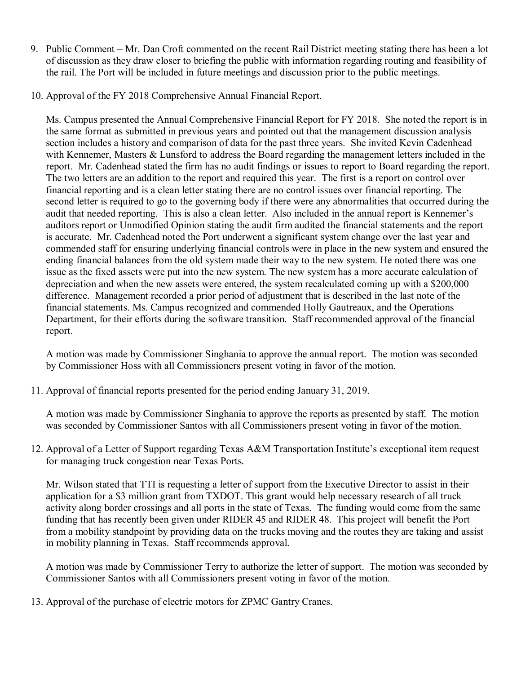- 9. Public Comment Mr. Dan Croft commented on the recent Rail District meeting stating there has been a lot of discussion as they draw closer to briefing the public with information regarding routing and feasibility of the rail. The Port will be included in future meetings and discussion prior to the public meetings.
- 10. Approval of the FY 2018 Comprehensive Annual Financial Report.

Ms. Campus presented the Annual Comprehensive Financial Report for FY 2018. She noted the report is in the same format as submitted in previous years and pointed out that the management discussion analysis section includes a history and comparison of data for the past three years. She invited Kevin Cadenhead with Kennemer, Masters & Lunsford to address the Board regarding the management letters included in the report. Mr. Cadenhead stated the firm has no audit findings or issues to report to Board regarding the report. The two letters are an addition to the report and required this year. The first is a report on control over financial reporting and is a clean letter stating there are no control issues over financial reporting. The second letter is required to go to the governing body if there were any abnormalities that occurred during the audit that needed reporting. This is also a clean letter. Also included in the annual report is Kennemer's auditors report or Unmodified Opinion stating the audit firm audited the financial statements and the report is accurate. Mr. Cadenhead noted the Port underwent a significant system change over the last year and commended staff for ensuring underlying financial controls were in place in the new system and ensured the ending financial balances from the old system made their way to the new system. He noted there was one issue as the fixed assets were put into the new system. The new system has a more accurate calculation of depreciation and when the new assets were entered, the system recalculated coming up with a \$200,000 difference. Management recorded a prior period of adjustment that is described in the last note of the financial statements. Ms. Campus recognized and commended Holly Gautreaux, and the Operations Department, for their efforts during the software transition. Staff recommended approval of the financial report.

A motion was made by Commissioner Singhania to approve the annual report. The motion was seconded by Commissioner Hoss with all Commissioners present voting in favor of the motion.

11. Approval of financial reports presented for the period ending January 31, 2019.

A motion was made by Commissioner Singhania to approve the reports as presented by staff. The motion was seconded by Commissioner Santos with all Commissioners present voting in favor of the motion.

12. Approval of a Letter of Support regarding Texas A&M Transportation Institute's exceptional item request for managing truck congestion near Texas Ports.

Mr. Wilson stated that TTI is requesting a letter of support from the Executive Director to assist in their application for a \$3 million grant from TXDOT. This grant would help necessary research of all truck activity along border crossings and all ports in the state of Texas. The funding would come from the same funding that has recently been given under RIDER 45 and RIDER 48. This project will benefit the Port from a mobility standpoint by providing data on the trucks moving and the routes they are taking and assist in mobility planning in Texas. Staff recommends approval.

A motion was made by Commissioner Terry to authorize the letter of support. The motion was seconded by Commissioner Santos with all Commissioners present voting in favor of the motion.

13. Approval of the purchase of electric motors for ZPMC Gantry Cranes.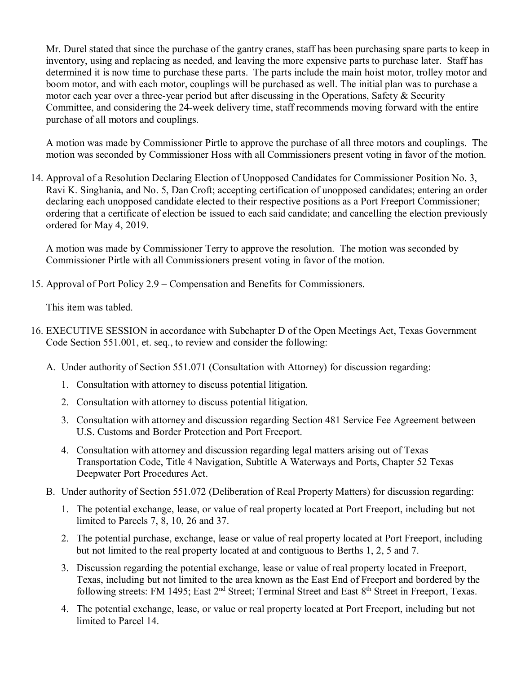Mr. Durel stated that since the purchase of the gantry cranes, staff has been purchasing spare parts to keep in inventory, using and replacing as needed, and leaving the more expensive parts to purchase later. Staff has determined it is now time to purchase these parts. The parts include the main hoist motor, trolley motor and boom motor, and with each motor, couplings will be purchased as well. The initial plan was to purchase a motor each year over a three-year period but after discussing in the Operations, Safety & Security Committee, and considering the 24-week delivery time, staff recommends moving forward with the entire purchase of all motors and couplings.

A motion was made by Commissioner Pirtle to approve the purchase of all three motors and couplings. The motion was seconded by Commissioner Hoss with all Commissioners present voting in favor of the motion.

14. Approval of a Resolution Declaring Election of Unopposed Candidates for Commissioner Position No. 3, Ravi K. Singhania, and No. 5, Dan Croft; accepting certification of unopposed candidates; entering an order declaring each unopposed candidate elected to their respective positions as a Port Freeport Commissioner; ordering that a certificate of election be issued to each said candidate; and cancelling the election previously ordered for May 4, 2019.

A motion was made by Commissioner Terry to approve the resolution. The motion was seconded by Commissioner Pirtle with all Commissioners present voting in favor of the motion.

15. Approval of Port Policy 2.9 – Compensation and Benefits for Commissioners.

This item was tabled.

- 16. EXECUTIVE SESSION in accordance with Subchapter D of the Open Meetings Act, Texas Government Code Section 551.001, et. seq., to review and consider the following:
	- A. Under authority of Section 551.071 (Consultation with Attorney) for discussion regarding:
		- 1. Consultation with attorney to discuss potential litigation.
		- 2. Consultation with attorney to discuss potential litigation.
		- 3. Consultation with attorney and discussion regarding Section 481 Service Fee Agreement between U.S. Customs and Border Protection and Port Freeport.
		- 4. Consultation with attorney and discussion regarding legal matters arising out of Texas Transportation Code, Title 4 Navigation, Subtitle A Waterways and Ports, Chapter 52 Texas Deepwater Port Procedures Act.
	- B. Under authority of Section 551.072 (Deliberation of Real Property Matters) for discussion regarding:
		- 1. The potential exchange, lease, or value of real property located at Port Freeport, including but not limited to Parcels 7, 8, 10, 26 and 37.
		- 2. The potential purchase, exchange, lease or value of real property located at Port Freeport, including but not limited to the real property located at and contiguous to Berths 1, 2, 5 and 7.
		- 3. Discussion regarding the potential exchange, lease or value of real property located in Freeport, Texas, including but not limited to the area known as the East End of Freeport and bordered by the following streets: FM 1495; East 2<sup>nd</sup> Street; Terminal Street and East 8<sup>th</sup> Street in Freeport, Texas.
		- 4. The potential exchange, lease, or value or real property located at Port Freeport, including but not limited to Parcel 14.